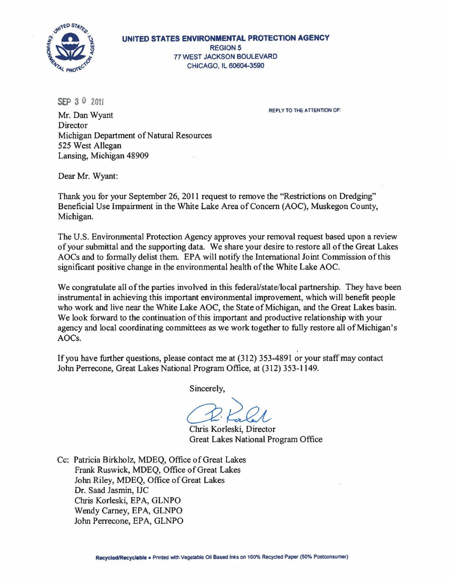

**UNITED STATES ENVIRONMENTAL PROTECTION AGENCY**  REGION5 77 WEST JACKSON BOULEVARD CHICAGO, IL 60604-3590

 $SEP 30 2011$ 

REPLY TO THE ATTENTION OF:

Mr. Dan Wyant Director Michigan Department of Natural Resources 525 West Allegan Lansing, Michigan 48909

Dear Mr. Wyant:

Thank you for your September 26, 2011 request to remove the "Restrictions on Dredging" Beneficial Use Impairment in the White Lake Area of Concern (AOC), Muskegon County, Michigan.

The U.S. Environmental Protection Agency approves your removal request based upon a review of your submittal and the supporting data. We share your desire to restore all of the Great Lakes AOCs and to formally delist them. EPA will notify the International Joint Commission of this significant positive change in the environmental health of the White Lake AOC.

We congratulate all of the parties involved in this federal/state/local partnership. They have been instrumental in achieving this important environmental improvement, which will benefit people who work and live near the White Lake AOC, the State of Michigan, and the Great Lakes basin. We look forward to the continuation of this important and productive relationship with your agency and local coordinating committees as we work together to fully restore all of Michigan's AOCs.

If you have further questions, please contact me at (312) 353-4891 or your staff may contact John Perrecone, Great Lakes National Program Office, at (312) 353-1 149.

Sincerely,

{3~ Chris Korleski, Director Great Lakes National Program Office

Cc: Patricia Birkholz, MDEQ, Office of Great Lakes Frank Ruswick, MDEQ, Office of Great Lakes John Riley, MDEQ, Office of Great Lakes Dr. Saad Jasmin, IJC Chris Korleski, EPA, GLNPO Wendy Carney, EPA, GLNPO John Perrecone, EPA, GLNPO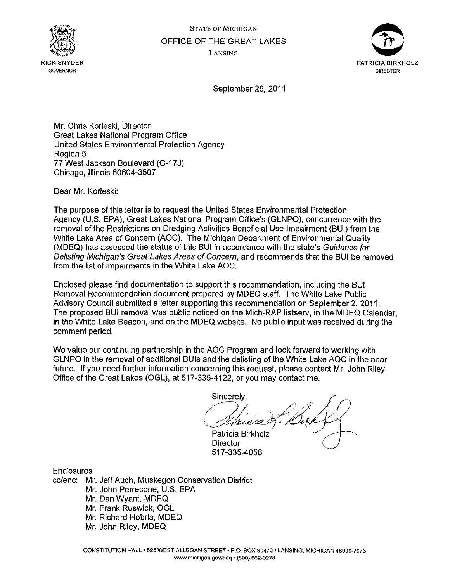



September 26, 2011

Mr. Chris Korleski, Director Great Lakes National Program Office United States Environmental Protection Agency Region 5 77 West Jackson Boulevard (G-17 J) Chicago, Illinois 60604-3507

Dear Mr. Korleski:

The purpose of this letter is to request the United States Environmental Protection Agency (U.S. EPA), Great Lakes National Program Office's (GLNPO), concurrence with the removal of the Restrictions on Dredging Activities Beneficial Use Impairment (BUI) from the White Lake Area of Concern (AOC). The Michigan Department of Environmental Quality (MDEQ) has assessed the status of this BUI in accordance with the state's Guidance for Delisting Michigan's Great Lakes Areas of Concern, and recommends that the BUI be removed from the list of impairments in the White Lake AOC.

Enclosed please find documentation to support this recommendation, including the BUI Removal Recommendation document prepared by MDEQ staff. The White Lake Public Advisory Council submitted a letter supporting this recommendation on September 2, 2011. The proposed BUI removal was public noticed on the Mich-RAP listserv, in the MDEQ Calendar, in the White Lake Beacon, and on the MDEQ website. No public input was received during the comment period.

We value our continuing partnership in the AOC Program and look forward to working with GLNPO in the removal of additional BUis and the delisting of the White Lake AOC in the near future. If you need further information concerning this request, please contact Mr. John Riley, Office of the Great Lakes (OGL), at 517-335-4122, or you may contact me.

Sincerely,

Patricia Birkholz Director 517-335-4056

**Enclosures** 

cc/enc: Mr. Jeff Auch, Muskegon Conservation District Mr. John Perrecone, U.S. EPA Mr. Dan Wyant, MDEQ Mr. Frank Ruswick, OGL Mr. Richard Hobrla, MDEQ Mr. John Riley, MDEQ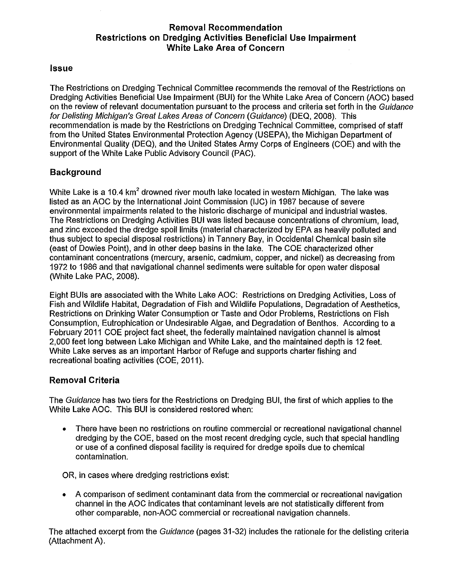# **Removal Recommendation Restrictions on Dredging Activities Beneficial Use Impairment White Lake Area of Concern**

#### **Issue**

The Restrictions on Dredging Technical Committee recommends the removal of the Restrictions on Dredging Activities Beneficial Use Impairment (BUI) for the White Lake Area of Concern (AOC) based on the review of relevant documentation pursuant to the process and criteria set forth in the Guidance for Delisting Michigan's Great Lakes Areas of Concern (Guidance) (DEQ, 2008). This recommendation is made by the Restrictions on Dredging Technical Committee, comprised of staff from the United States Environmental Protection Agency (USEPA), the Michigan Department of Environmental Quality (DEQ), and the United States Army Corps of Engineers (COE) and with the support of the White Lake Public Advisory Council (PAC).

# **Background**

White Lake is a 10.4 km<sup>2</sup> drowned river mouth lake located in western Michigan. The lake was listed as an AOC by the International Joint Commission (IJC) in 1987 because of severe environmental impairments related to the historic discharge of municipal and industrial wastes. The Restrictions on Dredging Activities BUI was listed because concentrations of chromium, lead, and zinc exceeded the dredge spoil limits (material characterized by EPA as heavily polluted and thus subject to special disposal restrictions) in Tannery Bay, in Occidental Chemical basin site (east of Dowies Point), and in other deep basins in the lake. The COE characterized other contaminant concentrations (mercury, arsenic, cadmium, copper, and nickel) as decreasing from 1972 to 1986 and that navigational channel sediments were suitable for open water disposal (White Lake PAC, 2008).

Eight BUis are associated with the White Lake AOC: Restrictions on Dredging Activities, Loss of Fish and Wildlife Habitat, Degradation of Fish and Wildlife Populations, Degradation of Aesthetics, Restrictions on Drinking Water Consumption or Taste and Odor Problems, Restrictions on Fish Consumption, Eutrophication or Undesirable Algae, and Degradation of Benthos. According to a February 2011 COE project fact sheet, the federally maintained navigation channel is almost 2,000 feet long between Lake Michigan and White Lake, and the maintained depth is 12 feet. White Lake serves as an important Harbor of Refuge and supports charter fishing and recreational boating activities (COE, 2011).

# **Removal Criteria**

The Guidance has two tiers for the Restrictions on Dredging BUI, the first of which applies to the White Lake AOC. This BUI is considered restored when:

• There have been no restrictions on routine commercial or recreational navigational channel dredging by the COE, based on the most recent dredging cycle, such that special handling or use of a confined disposal facility is required for dredge spoils due to chemical contamination.

OR, in cases where dredging restrictions exist:

• A comparison of sediment contaminant data from the commercial or recreational navigation channel in the AOC indicates that contaminant levels are not statistically different from other comparable, non-AOC commercial or recreational navigation channels.

The attached excerpt from the Guidance (pages 31-32) includes the rationale for the delisting criteria (Attachment A).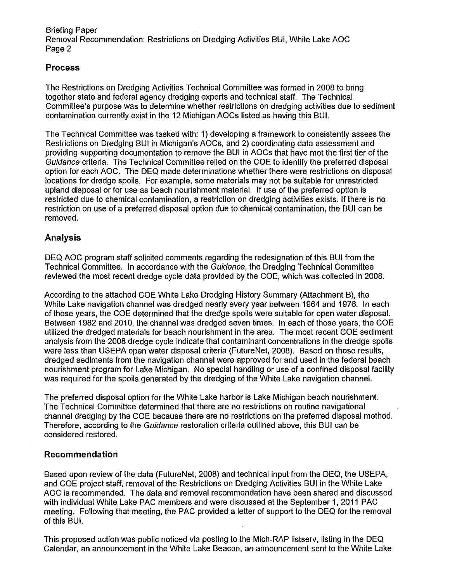Briefing Paper Removal Recommendation: Restrictions on Dredging Activities SUI, White Lake AOC Page 2

## **Process**

The Restrictions on Dredging Activities Technical Committee was formed in 2008 to bring together state and federal agency dredging experts and technical staff. The Technical Committee's purpose was to determine whether restrictions on dredging activities due to sediment contamination currently exist in the 12 Michigan AOCs listed as having this SUI.

The Technical Committee was tasked with: 1) developing a framework to consistently assess the Restrictions on Dredging SUI in Michigan's AOCs, and 2) coordinating data assessment and providing supporting documentation to remove the SUI in AOCs that have met the first tier of the Guidance criteria. The Technical Committee relied on the COE to identify the preferred disposal option for each AOC. The DEQ made determinations whether there were restrictions on disposal locations for dredge spoils. For example, some materials may not be suitable for unrestricted upland disposal or for use as beach nourishment material. If use of the preferred option is restricted due to chemical contamination, a restriction on dredging activities exists. If there is no restriction on use of a preferred disposal option due to chemical contamination, the SUI can be removed.

## **Analysis**

DEQ AOC program staff solicited comments regarding the redesignation of this SUI from the Technical Committee. In accordance with the Guidance, the Dredging Technical Committee reviewed the most recent dredge cycle data provided by the COE, which was collected in 2008.

According to the attached COE White Lake Dredging History Summary (Attachment B), the White Lake navigation channel was dredged nearly every year between 1964 and 1976. In each of those years, the COE determined that the dredge spoils were suitable for open water disposal. Between 1982 and 2010, the channel was dredged seven times. In each of those years, the COE utilized the dredged materials for beach nourishment in the area. The most recent COE sediment analysis from the 2008 dredge cycle indicate that contaminant concentrations in the dredge spoils were less than USEPA open water disposal criteria (FutureNet, 2008). Based on those results, dredged sediments from the navigation channel were approved for and used in the federal beach nourishment program for Lake Michigan. No special handling or use of a confined disposal facility was required for the spoils generated by the dredging of the White Lake navigation channel.

The preferred disposal option for the White Lake harbor is Lake Michigan beach nourishment. The Technical Committee determined that there are no restrictions on routine navigational channel dredging by the COE because there are no restrictions on the preferred disposal method. Therefore, according to the Guidance restoration criteria outlined above, this SUI can be considered restored.

#### **Recommendation**

Based upon review of the data (FutureNet, 2008) and technical input from the DEQ, the USEPA, and COE project staff, removal of the Restrictions on Dredging Activities SUI in the White Lake AOC is recommended. The data and removal recommendation have been shared and discussed with individual White Lake PAC members and were discussed at the September 1, 2011 PAC meeting. Following that meeting, the PAC provided a letter of support to the DEQ for the removal of this SUI.

This proposed action was public noticed via posting to the Mich-RAP listserv, listing in the DEQ Calendar, an announcement in the White Lake Beacon, an announcement sent to the White Lake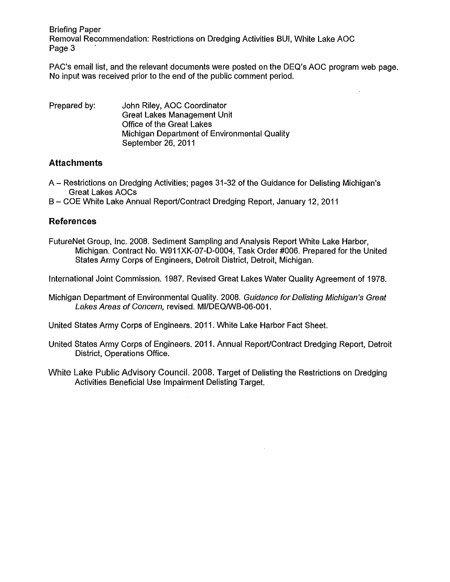Briefing Paper Removal Recommendation: Restrictions on Dredging Activities BUI, White Lake AOC Page 3

PAC's email list, and the relevant documents were posted on the DEQ's AOC program web page. No input was received prior to the end of the public comment period.

| Prepared by: | John Riley, AOC Coordinator                  |  |  |  |
|--------------|----------------------------------------------|--|--|--|
|              | Great Lakes Management Unit                  |  |  |  |
|              | Office of the Great Lakes                    |  |  |  |
|              | Michigan Department of Environmental Quality |  |  |  |
|              | September 26, 2011                           |  |  |  |

# **Attachments**

A- Restrictions on Dredging Activities; pages 31-32 of the Guidance for Delisting Michigan's Great Lakes AOCs

B- COE White Lake Annual ReporUContract Dredging Report, January 12, 2011

## **References**

FutureNet Group, Inc. 2008, Sediment Sampling and Analysis Report White Lake Harbor, Michigan. Contract No. W911XK-07-D-0004, Task Order #006. Prepared for the United States Army Corps of Engineers, Detroit District, Detroit, Michigan.

International Joint Commission. 1987. Revised Great Lakes Water Quality Agreement of 1978.

Michigan Department of Environmental Quality. 2008. Guidance for Delisting Michigan's Great Lakes Areas of Concern, revised. MI/DEQ/WB-06-001.

United States Army Corps of Engineers. 2011. White Lake Harbor Fact Sheet.

- United States Army Corps of Engineers. 2011. Annual ReporUContract Dredging Report, Detroit District, Operations Office.
- White Lake Public Advisory Council. 2008. Target of Delisting the Restrictions on Dredging Activities Beneficial Use Impairment Delisting Target.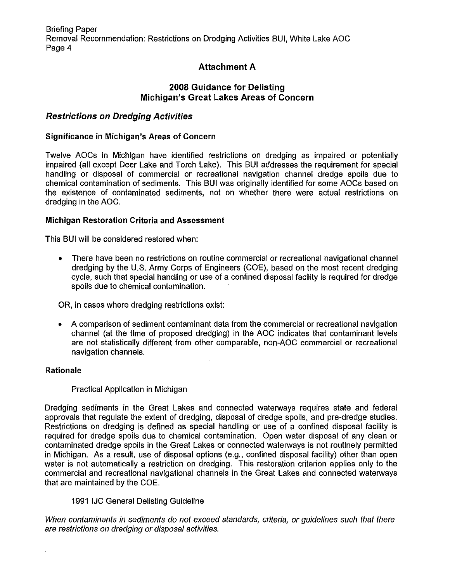# **Attachment A**

## **2008 Guidance for Delisting Michigan's Great Lakes Areas of Concern**

## **Restrictions on Dredging Activities**

#### **Significance in Michigan's Areas of Concern**

Twelve AOCs in Michigan have identified restrictions on dredging as impaired or potentially impaired (all except Deer Lake and Torch Lake). This BUI addresses the requirement for special handling or disposal of commercial or recreational navigation channel dredge spoils due to chemical contamination of sediments. This BUI was originally identified for some AOCs based on the existence of contaminated sediments, not on whether there were actual restrictions on dredging in the AOC.

#### **Michigan Restoration Criteria and Assessment**

This BUI will be considered restored when:

• There have been no restrictions on routine commercial or recreational navigational channel dredging by the U.S. Army Corps of Engineers (COE), based on the most recent dredging cycle, such that special handling or use of a confined disposal facility is required for dredge spoils due to chemical contamination.

OR, in cases where dredging restrictions exist:

• A comparison of sediment contaminant data from the commercial or recreational navigation channel (at the time of proposed dredging) in the AOC indicates that contaminant levels are not statistically different from other comparable, non-AOC commercial or recreational navigation channels.

#### **Rationale**

#### Practical Application in Michigan

Dredging sediments in the Great Lakes and connected waterways requires state and federal approvals that regulate the extent of dredging, disposal of dredge spoils, and pre-dredge studies. Restrictions on dredging is defined as special handling or use of a confined disposal facility is required for dredge spoils due to chemical contamination. Open water disposal of any clean or contaminated dredge spoils in the Great Lakes or connected waterways is not routinely permitted in Michigan. As a result, use of disposal options (e.g., confined disposal facility) other than open water is not automatically a restriction on dredging. This restoration criterion applies only to the commercial and recreational navigational channels in the Great Lakes and connected waterways that are maintained by the COE.

#### 1991 IJC General Delisting Guideline

When contaminants in sediments do not exceed standards, criteria, or guidelines such that there are restrictions on dredging or disposal activities.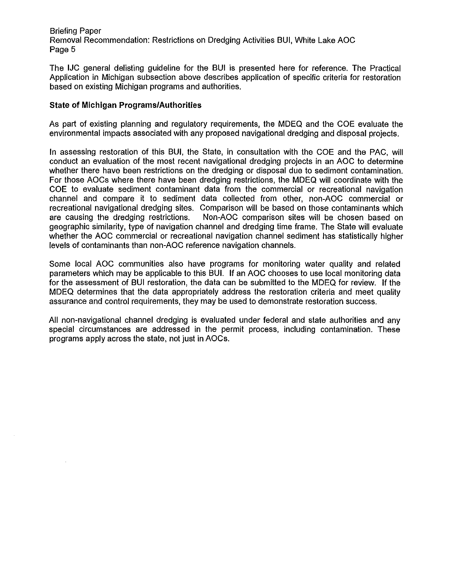Briefing Paper Removal Recommendation: Restrictions on Dredging Activities BUI, White Lake AOC Page 5

The IJC general delisting guideline for the BUI is presented here for reference. The Practical Application in Michigan subsection above describes application of specific criteria for restoration based on existing Michigan programs and authorities.

#### **State of Michigan Programs/Authorities**

As part of existing planning and regulatory requirements, the MDEQ and the COE evaluate the environmental impacts associated with any proposed navigational dredging and disposal projects.

In assessing restoration of this BUI, the State, in consultation with the COE and the PAC, will conduct an evaluation of the most recent navigational dredging projects in an AOC to determine whether there have been restrictions on the dredging or disposal due to sediment contamination. For those AOCs where there have been dredging restrictions, the MDEQ will coordinate with the COE to evaluate sediment contaminant data from the commercial or recreational navigation channel and compare it to sediment data collected from other, non-AOC commercial or recreational navigational dredging sites. Comparison will be based on those contaminants which are causing the dredging restrictions. Non-AOC comparison sites will be chosen based on geographic similarity, type of navigation channel and dredging time frame. The State will evaluate whether the AOC commercial or recreational navigation channel sediment has statistically higher levels of contaminants than non-AOC reference navigation channels.

Some local AOC communities also have programs for monitoring water quality and related parameters which may be applicable to this BUI. If an AOC chooses to use local monitoring data for the assessment of BUI restoration, the data can be submitted to the MDEQ for review. If the MDEQ determines that the data appropriately address the restoration criteria and meet quality assurance and control requirements, they may be used to demonstrate restoration success.

All non-navigational channel dredging is evaluated under federal and state authorities and any special circumstances are addressed in the permit process, including contamination. These programs apply across the state, not just in AOCs.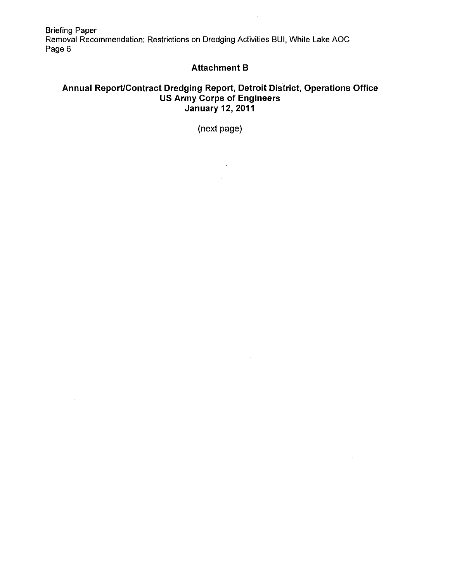Briefing Paper Removal Recommendation: Restrictions on Dredging Activities BUI, White Lake AOC Page 6

 $\sim$   $\sim$ 

 $\sim 10^{-11}$ 

## **Attachment B**

 $\hat{\mathcal{A}}$ 

# **Annual Report/Contract Dredging Report, Detroit District, Operations Office US Army Corps of Engineers January 12, 2011**

(next page)

 $\sim 10^{11}$  km  $^{-1}$  $\mathcal{L}^{\text{max}}$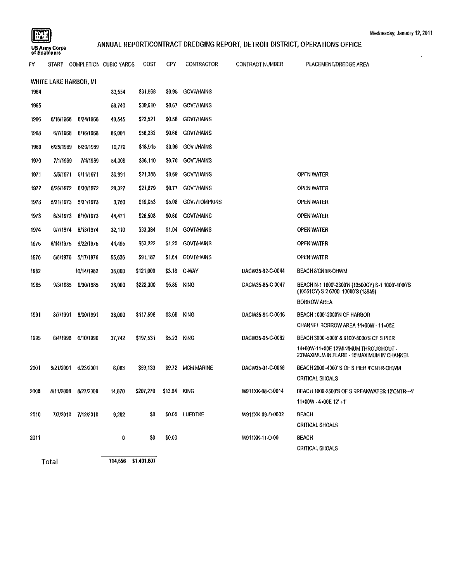$\bar{z}$ 

# **matricus**<br>ANNUAL REPORT/CONTRACT DREDGING REPORT, DETROIT DISTRICT, OPERATIONS OFFICE<br>USAmny Corps **ANNUAL REPORT/CONTRACT DREDGING REPORT, DETROIT DISTRICT**, OPERATIONS OFFICE

| F٧                    |           | START COMPLETION CUBIC YARDS |        | COST                   | CFY    | <b>CONTRACTOR</b>    | <b>CONTRACT NUMBER</b> | PLACEMENT/DREDGE AREA                                                                    |  |  |
|-----------------------|-----------|------------------------------|--------|------------------------|--------|----------------------|------------------------|------------------------------------------------------------------------------------------|--|--|
| WHITE LAKE HARBOR, MI |           |                              |        |                        |        |                      |                        |                                                                                          |  |  |
| 1964                  |           |                              | 33,554 | \$31,968               | \$0.95 | <b>GOVT/HAINS</b>    |                        |                                                                                          |  |  |
| 1965                  |           |                              | 58,740 | \$39,610               | \$0.67 | <b>GOVT/HAINS</b>    |                        |                                                                                          |  |  |
| 1966                  | 6/18/1966 | 6/24/1966                    | 40,545 | \$23,521               | \$0.58 | <b>GOVT/HAINS</b>    |                        |                                                                                          |  |  |
| 1968                  | 6/7/1968  | 6/16/1968                    | 86,001 | \$58,232               | \$0.68 | <b>GOVT/HAINS</b>    |                        |                                                                                          |  |  |
| 1969                  | 6/25/1969 | 6/30/1969                    | 19,770 | \$18,915               | \$0.96 | <b>GOVT/HAINS</b>    |                        |                                                                                          |  |  |
| 1970                  | 7/1/1969  | 7/4/1969                     | 54,309 | \$38,110               | \$0.70 | <b>GOVT/HAINS</b>    |                        |                                                                                          |  |  |
| 1971                  | 5/6/1971  | 5/11/1971                    | 30,991 | \$21,388               | \$0.69 | <b>GOVT/HAINS</b>    |                        | OPEN WATER                                                                               |  |  |
| 1972                  | 6/26/1972 | 6/30/1972                    | 28,327 | \$21,879               | 30.77  | <b>GOVT/HAINS</b>    |                        | OPEN WATER                                                                               |  |  |
| 1973                  | 5/21/1973 | 5/31/1973                    | 3,750  | \$19,053               | \$5.08 | <b>GOVI/TOMPKINS</b> |                        | OPEN WATER                                                                               |  |  |
| 1973                  | 6/5/1973  | 6/10/1973                    | 44,471 | \$26,508               | \$0.60 | <b>GOVT/HAINS</b>    |                        | OPEN WATER                                                                               |  |  |
| 1974                  | 6/7/1974  | 6/13/1974                    | 32,110 | \$33,384               | \$1.04 | <b>GOVT/HAINS</b>    |                        | OPEN WATER                                                                               |  |  |
| 1975                  | 6/14/1975 | 6/22/1975                    | 44,495 | \$53,222               | \$1,20 | <b>GOVT/HAINS</b>    |                        | OPEN WATER                                                                               |  |  |
| 1976                  | 5/6/1976  | 5/17/1976                    | 55,636 | \$91,187               | \$1.64 | <b>GOVT/HAINS</b>    |                        | OPEN WATER                                                                               |  |  |
| 1982                  |           | 10/14/1982                   | 38,000 | \$121,000              | \$3.18 | C-WAY                | DACW35-82-C-0044       | BEACH 8 CNTR-OHWM                                                                        |  |  |
| 1985                  | 9/3/1985  | 9/30/1985                    | 38,000 | \$222,300              | \$5.85 | <b>KING</b>          | DACW35-85-C-0047       | BEACH N-1 1000'-2300'N (13500CY) S-1 1000'-4000'S<br>(10551CY) S-2 6700'-10000'S (13949) |  |  |
|                       |           |                              |        |                        |        |                      |                        | <b>BORROW AREA</b>                                                                       |  |  |
| 1991                  | 8/7/1991  | 8/30/1991                    | 38,000 | \$117,596              | \$3.09 | <b>KING</b>          | DACW35-91-C-0016       | BEACH 1000'-2300'N OF HARBOR                                                             |  |  |
|                       |           |                              |        |                        |        |                      |                        | CHANNEL BORROW AREA 14+00W - 11+00E                                                      |  |  |
| 1995                  | 6/4/1996  | 6/10/1996                    | 37,742 | \$197,531              | \$5.23 | <b>KING</b>          | DACW35-95-C-0062       | BEACH 3000'-5000' & 6100'-8000'S OF S PIER                                               |  |  |
|                       |           |                              |        |                        |        |                      |                        | 14+00W-11+00E 12'MINIMUM THROUGHOUT -<br>20 MAXIMUM IN FLARE - 15 MAXIMUM IN CHANNEL     |  |  |
| 2001                  | 6/21/2001 | 6/23/2001                    | 6,083  | \$59,133               |        | \$9.72 MCM MARINE    | DACW35-01-C-0016       | BEACH 2000'-4000'S OF S PIER 4'CNTR OHWM                                                 |  |  |
|                       |           |                              |        |                        |        |                      |                        | CRITICAL SHOALS                                                                          |  |  |
| 2008                  |           | 8/11/2008 8/27/2008          | 14,870 | \$207,270 \$13.94 KING |        |                      | W911XK-08-C-0014       | BEACH 1000-2500'S OF S BREAKWATER 12'CNTR-+4"                                            |  |  |
|                       |           |                              |        |                        |        |                      |                        | $11+00W - 4+00E$ 12' +1'                                                                 |  |  |
| 2010                  |           | 7/7/2010 7/12/2010           | 9,262  | \$0                    |        | \$0.00 LUEDTKE       | W911XK-09-D-0002       | <b>BEACH</b>                                                                             |  |  |
|                       |           |                              |        |                        |        |                      |                        | CRITICAL SHOALS                                                                          |  |  |
| 2011                  |           |                              | 0      | \$0                    | \$0.00 |                      | W911XK-11-D-00         | <b>BEACH</b>                                                                             |  |  |
|                       |           |                              |        |                        |        |                      |                        | CRITICAL SHOALS                                                                          |  |  |
|                       | Total     |                              |        | 714,656 \$1,401,807    |        |                      |                        |                                                                                          |  |  |